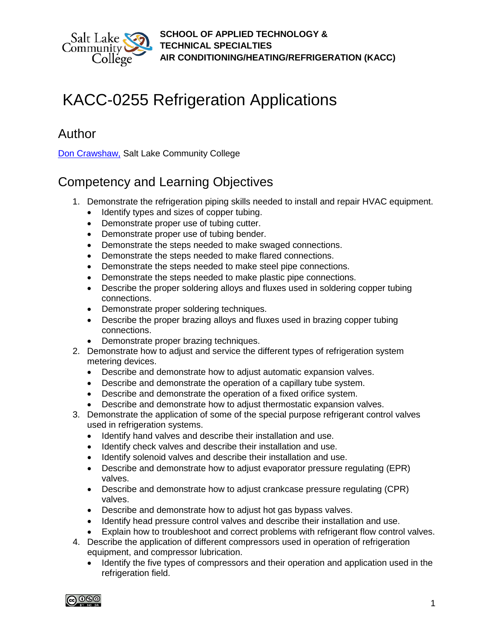

# KACC-0255 Refrigeration Applications

# Author

[Don Crawshaw,](mailto:don.crawshaw@slcc.edu) Salt Lake Community College

# Competency and Learning Objectives

- 1. Demonstrate the refrigeration piping skills needed to install and repair HVAC equipment.
	- Identify types and sizes of copper tubing.
	- Demonstrate proper use of tubing cutter.
	- Demonstrate proper use of tubing bender.
	- Demonstrate the steps needed to make swaged connections.
	- Demonstrate the steps needed to make flared connections.
	- Demonstrate the steps needed to make steel pipe connections.
	- Demonstrate the steps needed to make plastic pipe connections.
	- Describe the proper soldering alloys and fluxes used in soldering copper tubing connections.
	- Demonstrate proper soldering techniques.
	- Describe the proper brazing alloys and fluxes used in brazing copper tubing connections.
	- Demonstrate proper brazing techniques.
- 2. Demonstrate how to adjust and service the different types of refrigeration system metering devices.
	- Describe and demonstrate how to adjust automatic expansion valves.
	- Describe and demonstrate the operation of a capillary tube system.
	- Describe and demonstrate the operation of a fixed orifice system.
	- Describe and demonstrate how to adjust thermostatic expansion valves.
- 3. Demonstrate the application of some of the special purpose refrigerant control valves used in refrigeration systems.
	- Identify hand valves and describe their installation and use.
	- Identify check valves and describe their installation and use.
	- Identify solenoid valves and describe their installation and use.
	- Describe and demonstrate how to adjust evaporator pressure regulating (EPR) valves.
	- Describe and demonstrate how to adjust crankcase pressure regulating (CPR) valves.
	- Describe and demonstrate how to adjust hot gas bypass valves.
	- Identify head pressure control valves and describe their installation and use.
	- Explain how to troubleshoot and correct problems with refrigerant flow control valves.
- 4. Describe the application of different compressors used in operation of refrigeration equipment, and compressor lubrication.
	- Identify the five types of compressors and their operation and application used in the refrigeration field.

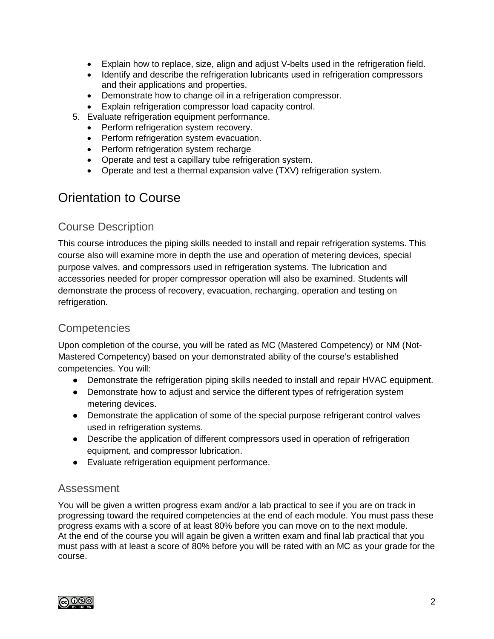- Explain how to replace, size, align and adjust V-belts used in the refrigeration field.
- Identify and describe the refrigeration lubricants used in refrigeration compressors and their applications and properties.
- Demonstrate how to change oil in a refrigeration compressor.
- Explain refrigeration compressor load capacity control.
- 5. Evaluate refrigeration equipment performance.
	- Perform refrigeration system recovery.
	- Perform refrigeration system evacuation.
	- Perform refrigeration system recharge
	- Operate and test a capillary tube refrigeration system.
	- Operate and test a thermal expansion valve (TXV) refrigeration system.

# Orientation to Course

### Course Description

This course introduces the piping skills needed to install and repair refrigeration systems. This course also will examine more in depth the use and operation of metering devices, special purpose valves, and compressors used in refrigeration systems. The lubrication and accessories needed for proper compressor operation will also be examined. Students will demonstrate the process of recovery, evacuation, recharging, operation and testing on refrigeration.

### **Competencies**

Upon completion of the course, you will be rated as MC (Mastered Competency) or NM (Not-Mastered Competency) based on your demonstrated ability of the course's established competencies. You will:

- Demonstrate the refrigeration piping skills needed to install and repair HVAC equipment.
- Demonstrate how to adjust and service the different types of refrigeration system metering devices.
- Demonstrate the application of some of the special purpose refrigerant control valves used in refrigeration systems.
- Describe the application of different compressors used in operation of refrigeration equipment, and compressor lubrication.
- Evaluate refrigeration equipment performance.

### Assessment

You will be given a written progress exam and/or a lab practical to see if you are on track in progressing toward the required competencies at the end of each module. You must pass these progress exams with a score of at least 80% before you can move on to the next module. At the end of the course you will again be given a written exam and final lab practical that you must pass with at least a score of 80% before you will be rated with an MC as your grade for the course.

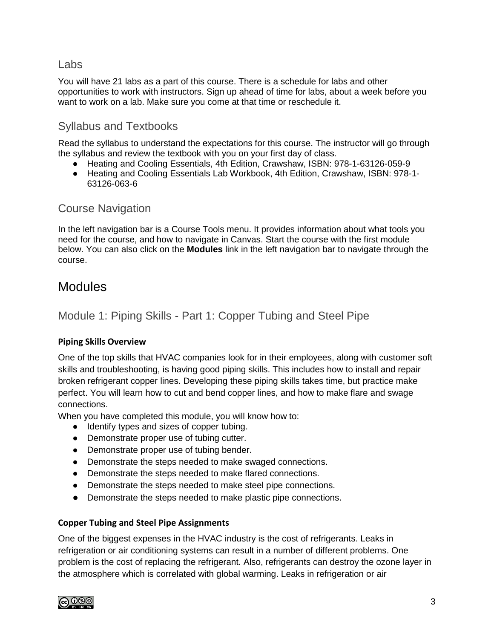### Labs

You will have 21 labs as a part of this course. There is a schedule for labs and other opportunities to work with instructors. Sign up ahead of time for labs, about a week before you want to work on a lab. Make sure you come at that time or reschedule it.

### Syllabus and Textbooks

Read the [syllabus](https://slcc.instructure.com/courses/387222/files/56367006/download?wrap=1) to understand the expectations for this course. The instructor will go through the syllabus and review the textbook with you on your first day of class.

- Heating and Cooling Essentials, 4th Edition, Crawshaw, ISBN: 978-1-63126-059-9
- Heating and Cooling Essentials Lab Workbook, 4th Edition, Crawshaw, ISBN: 978-1- 63126-063-6

### Course Navigation

In the left navigation bar is a Course Tools menu. It provides information about what tools you need for the course, and how to navigate in Canvas. Start the course with the first module below. You can also click on the **Modules** link in the left navigation bar to navigate through the course.

## Modules

### Module 1: Piping Skills - Part 1: Copper Tubing and Steel Pipe

#### **Piping Skills Overview**

One of the top skills that HVAC companies look for in their employees, along with customer soft skills and troubleshooting, is having good piping skills. This includes how to install and repair broken refrigerant copper lines. Developing these piping skills takes time, but practice make perfect. You will learn how to cut and bend copper lines, and how to make flare and swage connections.

When you have completed this module, you will know how to:

- Identify types and sizes of copper tubing.
- Demonstrate proper use of tubing cutter.
- Demonstrate proper use of tubing bender.
- Demonstrate the steps needed to make swaged connections.
- Demonstrate the steps needed to make flared connections.
- Demonstrate the steps needed to make steel pipe connections.
- Demonstrate the steps needed to make plastic pipe connections.

#### **Copper Tubing and Steel Pipe Assignments**

One of the biggest expenses in the HVAC industry is the cost of refrigerants. Leaks in refrigeration or air conditioning systems can result in a number of different problems. One problem is the cost of replacing the refrigerant. Also, refrigerants can destroy the ozone layer in the atmosphere which is correlated with global warming. Leaks in refrigeration or air

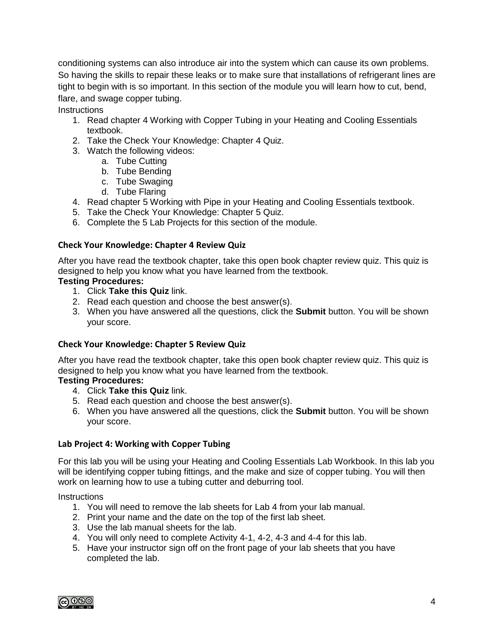conditioning systems can also introduce air into the system which can cause its own problems. So having the skills to repair these leaks or to make sure that installations of refrigerant lines are tight to begin with is so important. In this section of the module you will learn how to cut, bend, flare, and swage copper tubing.

**Instructions** 

- 1. Read chapter 4 Working with Copper Tubing in your Heating and Cooling Essentials textbook.
- 2. Take the Check Your Knowledge: Chapter 4 Quiz.
- 3. Watch the following videos:
	- a. Tube Cutting
	- b. Tube Bending
	- c. Tube Swaging
	- d. Tube Flaring
- 4. Read chapter 5 Working with Pipe in your Heating and Cooling Essentials textbook.
- 5. Take the Check Your Knowledge: Chapter 5 Quiz.
- 6. Complete the 5 Lab Projects for this section of the module.

#### **Check Your Knowledge: Chapter 4 Review Quiz**

After you have read the textbook chapter, take this open book chapter review quiz. This quiz is designed to help you know what you have learned from the textbook.

#### **Testing Procedures:**

- 1. Click **Take this Quiz** link.
- 2. Read each question and choose the best answer(s).
- 3. When you have answered all the questions, click the **Submit** button. You will be shown your score.

#### **Check Your Knowledge: Chapter 5 Review Quiz**

After you have read the textbook chapter, take this open book chapter review quiz. This quiz is designed to help you know what you have learned from the textbook.

#### **Testing Procedures:**

- 4. Click **Take this Quiz** link.
- 5. Read each question and choose the best answer(s).
- 6. When you have answered all the questions, click the **Submit** button. You will be shown your score.

#### **Lab Project 4: Working with Copper Tubing**

For this lab you will be using your Heating and Cooling Essentials Lab Workbook. In this lab you will be identifying copper tubing fittings, and the make and size of copper tubing. You will then work on learning how to use a tubing cutter and deburring tool.

- 1. You will need to remove the lab sheets for Lab 4 from your lab manual.
- 2. Print your name and the date on the top of the first lab sheet.
- 3. Use the lab manual sheets for the lab.
- 4. You will only need to complete Activity 4-1, 4-2, 4-3 and 4-4 for this lab.
- 5. Have your instructor sign off on the front page of your lab sheets that you have completed the lab.

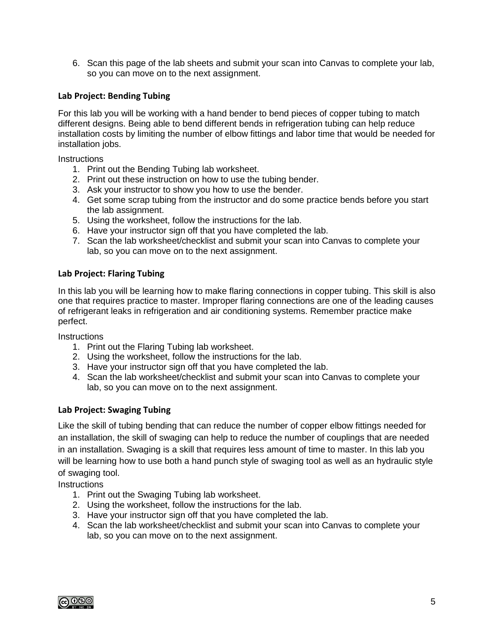6. Scan this page of the lab sheets and submit your scan into Canvas to complete your lab, so you can move on to the next assignment.

#### **Lab Project: Bending Tubing**

For this lab you will be working with a hand bender to bend pieces of copper tubing to match different designs. Being able to bend different bends in refrigeration tubing can help reduce installation costs by limiting the number of elbow fittings and labor time that would be needed for installation jobs.

**Instructions** 

- 1. Print out the Bending Tubing lab worksheet.
- 2. Print out these instruction on how to use the tubing bender.
- 3. Ask your instructor to show you how to use the bender.
- 4. Get some scrap tubing from the instructor and do some practice bends before you start the lab assignment.
- 5. Using the worksheet, follow the instructions for the lab.
- 6. Have your instructor sign off that you have completed the lab.
- 7. Scan the lab worksheet/checklist and submit your scan into Canvas to complete your lab, so you can move on to the next assignment.

#### **Lab Project: Flaring Tubing**

In this lab you will be learning how to make flaring connections in copper tubing. This skill is also one that requires practice to master. Improper flaring connections are one of the leading causes of refrigerant leaks in refrigeration and air conditioning systems. Remember practice make perfect.

**Instructions** 

- 1. Print out the Flaring Tubing lab worksheet.
- 2. Using the worksheet, follow the instructions for the lab.
- 3. Have your instructor sign off that you have completed the lab.
- 4. Scan the lab worksheet/checklist and submit your scan into Canvas to complete your lab, so you can move on to the next assignment.

#### **Lab Project: Swaging Tubing**

Like the skill of tubing bending that can reduce the number of copper elbow fittings needed for an installation, the skill of swaging can help to reduce the number of couplings that are needed in an installation. Swaging is a skill that requires less amount of time to master. In this lab you will be learning how to use both a hand punch style of swaging tool as well as an hydraulic style of swaging tool.

- 1. Print out the Swaging Tubing lab worksheet.
- 2. Using the worksheet, follow the instructions for the lab.
- 3. Have your instructor sign off that you have completed the lab.
- 4. Scan the lab worksheet/checklist and submit your scan into Canvas to complete your lab, so you can move on to the next assignment.

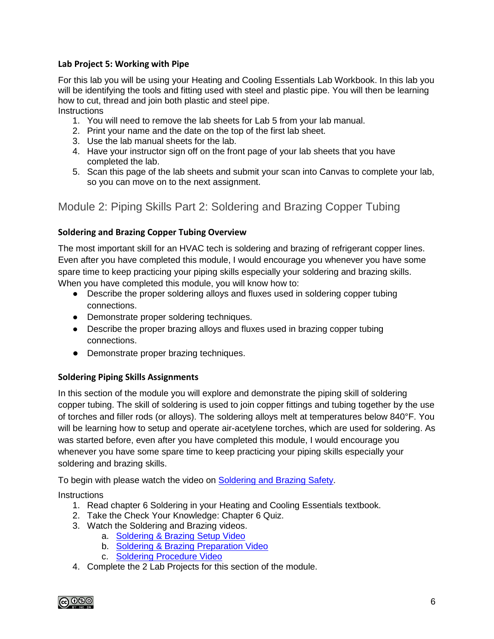#### **Lab Project 5: Working with Pipe**

For this lab you will be using your Heating and Cooling Essentials Lab Workbook. In this lab you will be identifying the tools and fitting used with steel and plastic pipe. You will then be learning how to cut, thread and join both plastic and steel pipe.

**Instructions** 

- 1. You will need to remove the lab sheets for Lab 5 from your lab manual.
- 2. Print your name and the date on the top of the first lab sheet.
- 3. Use the lab manual sheets for the lab.
- 4. Have your instructor sign off on the front page of your lab sheets that you have completed the lab.
- 5. Scan this page of the lab sheets and submit your scan into Canvas to complete your lab, so you can move on to the next assignment.

Module 2: Piping Skills Part 2: Soldering and Brazing Copper Tubing

#### **Soldering and Brazing Copper Tubing Overview**

The most important skill for an HVAC tech is soldering and brazing of refrigerant copper lines. Even after you have completed this module, I would encourage you whenever you have some spare time to keep practicing your piping skills especially your soldering and brazing skills. When you have completed this module, you will know how to:

- Describe the proper soldering alloys and fluxes used in soldering copper tubing connections.
- Demonstrate proper soldering techniques.
- Describe the proper brazing alloys and fluxes used in brazing copper tubing connections.
- Demonstrate proper brazing techniques.

#### **Soldering Piping Skills Assignments**

In this section of the module you will explore and demonstrate the piping skill of soldering copper tubing. The skill of soldering is used to join copper fittings and tubing together by the use of torches and filler rods (or alloys). The soldering alloys melt at temperatures below 840°F. You will be learning how to setup and operate air-acetylene torches, which are used for soldering. As was started before, even after you have completed this module, I would encourage you whenever you have some spare time to keep practicing your piping skills especially your soldering and brazing skills.

To begin with please watch the video on [Soldering and Brazing Safety.](https://www.youtube.com/watch?v=tBPKQMIfZDY&feature=youtu.be)

- 1. Read chapter 6 Soldering in your Heating and Cooling Essentials textbook.
- 2. Take the Check Your Knowledge: Chapter 6 Quiz.
- 3. Watch the Soldering and Brazing videos.
	- a. [Soldering & Brazing Setup Video](https://www.youtube.com/watch?v=l9ogye0oXH4&feature=youtu.be)
	- b. [Soldering & Brazing Preparation Video](https://www.youtube.com/watch?v=gfq8UYcC8Dk&feature=youtu.be)
	- c. [Soldering Procedure Video](https://www.youtube.com/watch?v=0dN7p3x27_I&feature=youtu.be)
- 4. Complete the 2 Lab Projects for this section of the module.

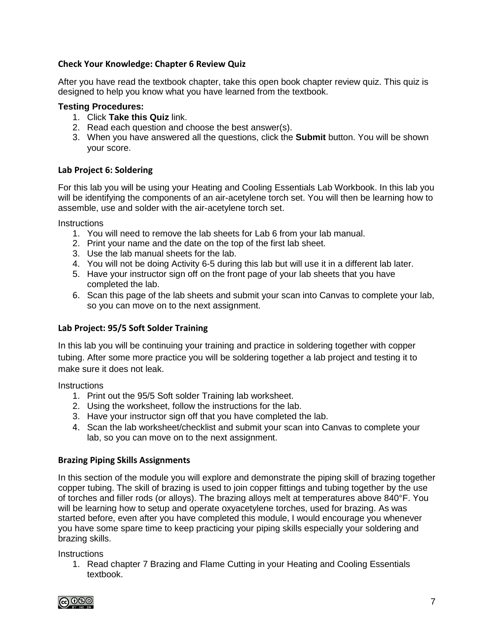#### **Check Your Knowledge: Chapter 6 Review Quiz**

After you have read the textbook chapter, take this open book chapter review quiz. This quiz is designed to help you know what you have learned from the textbook.

#### **Testing Procedures:**

- 1. Click **Take this Quiz** link.
- 2. Read each question and choose the best answer(s).
- 3. When you have answered all the questions, click the **Submit** button. You will be shown your score.

#### **Lab Project 6: Soldering**

For this lab you will be using your Heating and Cooling Essentials Lab Workbook. In this lab you will be identifying the components of an air-acetylene torch set. You will then be learning how to assemble, use and solder with the air-acetylene torch set.

**Instructions** 

- 1. You will need to remove the lab sheets for Lab 6 from your lab manual.
- 2. Print your name and the date on the top of the first lab sheet.
- 3. Use the lab manual sheets for the lab.
- 4. You will not be doing Activity 6-5 during this lab but will use it in a different lab later.
- 5. Have your instructor sign off on the front page of your lab sheets that you have completed the lab.
- 6. Scan this page of the lab sheets and submit your scan into Canvas to complete your lab, so you can move on to the next assignment.

#### **Lab Project: 95/5 Soft Solder Training**

In this lab you will be continuing your training and practice in soldering together with copper tubing. After some more practice you will be soldering together a lab project and testing it to make sure it does not leak.

**Instructions** 

- 1. Print out the 95/5 Soft solder Training lab worksheet.
- 2. Using the worksheet, follow the instructions for the lab.
- 3. Have your instructor sign off that you have completed the lab.
- 4. Scan the lab worksheet/checklist and submit your scan into Canvas to complete your lab, so you can move on to the next assignment.

#### **Brazing Piping Skills Assignments**

In this section of the module you will explore and demonstrate the piping skill of brazing together copper tubing. The skill of brazing is used to join copper fittings and tubing together by the use of torches and filler rods (or alloys). The brazing alloys melt at temperatures above 840°F. You will be learning how to setup and operate oxyacetylene torches, used for brazing. As was started before, even after you have completed this module, I would encourage you whenever you have some spare time to keep practicing your piping skills especially your soldering and brazing skills.

**Instructions** 

1. Read chapter 7 Brazing and Flame Cutting in your Heating and Cooling Essentials textbook.

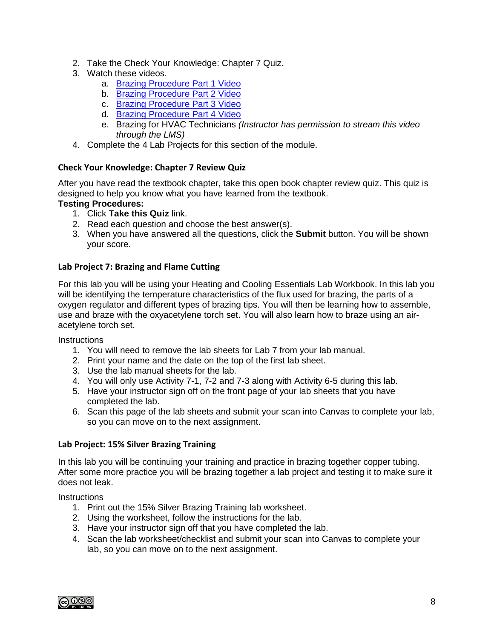- 2. Take the Check Your Knowledge: Chapter 7 Quiz.
- 3. Watch these videos.
	- a. [Brazing Procedure Part 1 Video](https://www.youtube.com/watch?v=8IVRZGDPa90&feature=youtu.be)
	- b. [Brazing Procedure](https://www.youtube.com/watch?v=fE_OvpzkSc4&feature=youtu.be) Part 2 Video
	- c. [Brazing Procedure Part 3 Video](https://www.youtube.com/watch?v=NXOmBZKyWHU&feature=youtu.be)
	- d. [Brazing Procedure Part 4 Video](https://www.youtube.com/watch?v=9gBrkqFeKHo&feature=youtu.be)
	- e. Brazing for HVAC Technicians *(Instructor has permission to stream this video through the LMS)*
- 4. Complete the 4 Lab Projects for this section of the module.

#### **Check Your Knowledge: Chapter 7 Review Quiz**

After you have read the textbook chapter, take this open book chapter review quiz. This quiz is designed to help you know what you have learned from the textbook.

#### **Testing Procedures:**

- 1. Click **Take this Quiz** link.
- 2. Read each question and choose the best answer(s).
- 3. When you have answered all the questions, click the **Submit** button. You will be shown your score.

#### **Lab Project 7: Brazing and Flame Cutting**

For this lab you will be using your Heating and Cooling Essentials Lab Workbook. In this lab you will be identifying the temperature characteristics of the flux used for brazing, the parts of a oxygen regulator and different types of brazing tips. You will then be learning how to assemble, use and braze with the oxyacetylene torch set. You will also learn how to braze using an airacetylene torch set.

**Instructions** 

- 1. You will need to remove the lab sheets for Lab 7 from your lab manual.
- 2. Print your name and the date on the top of the first lab sheet.
- 3. Use the lab manual sheets for the lab.
- 4. You will only use Activity 7-1, 7-2 and 7-3 along with Activity 6-5 during this lab.
- 5. Have your instructor sign off on the front page of your lab sheets that you have completed the lab.
- 6. Scan this page of the lab sheets and submit your scan into Canvas to complete your lab, so you can move on to the next assignment.

#### **Lab Project: 15% Silver Brazing Training**

In this lab you will be continuing your training and practice in brazing together copper tubing. After some more practice you will be brazing together a lab project and testing it to make sure it does not leak.

- 1. Print out the 15% Silver Brazing Training lab worksheet.
- 2. Using the worksheet, follow the instructions for the lab.
- 3. Have your instructor sign off that you have completed the lab.
- 4. Scan the lab worksheet/checklist and submit your scan into Canvas to complete your lab, so you can move on to the next assignment.

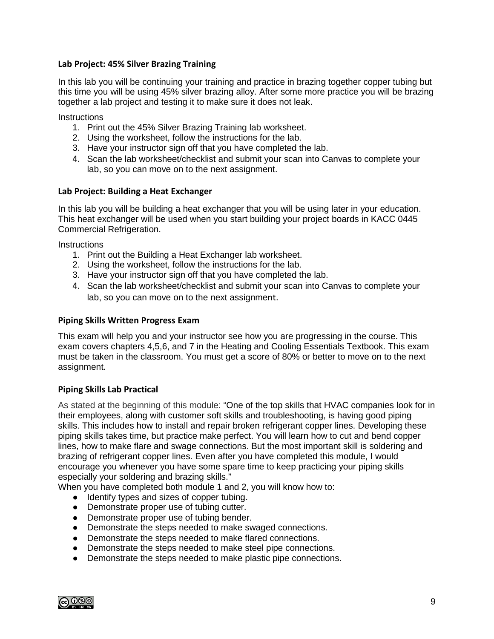#### **Lab Project: 45% Silver Brazing Training**

In this lab you will be continuing your training and practice in brazing together copper tubing but this time you will be using 45% silver brazing alloy. After some more practice you will be brazing together a lab project and testing it to make sure it does not leak.

**Instructions** 

- 1. Print out the 45% Silver Brazing Training lab worksheet.
- 2. Using the worksheet, follow the instructions for the lab.
- 3. Have your instructor sign off that you have completed the lab.
- 4. Scan the lab worksheet/checklist and submit your scan into Canvas to complete your lab, so you can move on to the next assignment.

#### **Lab Project: Building a Heat Exchanger**

In this lab you will be building a heat exchanger that you will be using later in your education. This heat exchanger will be used when you start building your project boards in KACC 0445 Commercial Refrigeration.

**Instructions** 

- 1. Print out the Building a Heat Exchanger lab worksheet.
- 2. Using the worksheet, follow the instructions for the lab.
- 3. Have your instructor sign off that you have completed the lab.
- 4. Scan the lab worksheet/checklist and submit your scan into Canvas to complete your lab, so you can move on to the next assignment.

#### **Piping Skills Written Progress Exam**

This exam will help you and your instructor see how you are progressing in the course. This exam covers chapters 4,5,6, and 7 in the Heating and Cooling Essentials Textbook. This exam must be taken in the classroom. You must get a score of 80% or better to move on to the next assignment.

#### **Piping Skills Lab Practical**

As stated at the beginning of this module: "One of the top skills that HVAC companies look for in their employees, along with customer soft skills and troubleshooting, is having good piping skills. This includes how to install and repair broken refrigerant copper lines. Developing these piping skills takes time, but practice make perfect. You will learn how to cut and bend copper lines, how to make flare and swage connections. But the most important skill is soldering and brazing of refrigerant copper lines. Even after you have completed this module, I would encourage you whenever you have some spare time to keep practicing your piping skills especially your soldering and brazing skills."

When you have completed both module 1 and 2, you will know how to:

- Identify types and sizes of copper tubing.
- Demonstrate proper use of tubing cutter.
- Demonstrate proper use of tubing bender.
- Demonstrate the steps needed to make swaged connections.
- Demonstrate the steps needed to make flared connections.
- Demonstrate the steps needed to make steel pipe connections.
- Demonstrate the steps needed to make plastic pipe connections.

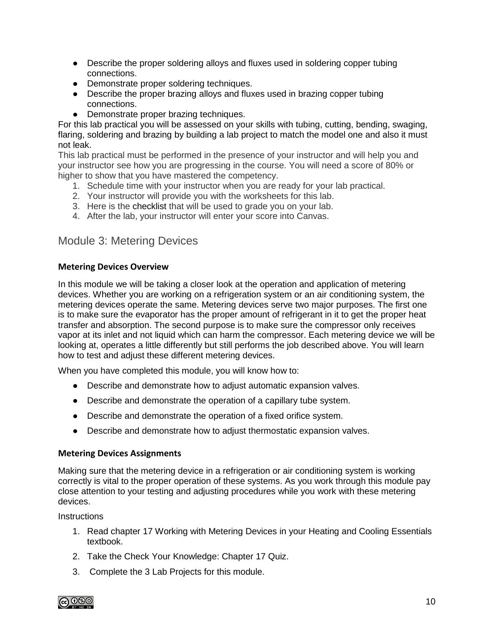- Describe the proper soldering alloys and fluxes used in soldering copper tubing connections.
- Demonstrate proper soldering techniques.
- Describe the proper brazing alloys and fluxes used in brazing copper tubing connections.
- Demonstrate proper brazing techniques.

For this lab practical you will be assessed on your skills with tubing, cutting, bending, swaging, flaring, soldering and brazing by building a lab project to match the model one and also it must not leak.

This lab practical must be performed in the presence of your instructor and will help you and your instructor see how you are progressing in the course. You will need a score of 80% or higher to show that you have mastered the competency.

- 1. Schedule time with your instructor when you are ready for your lab practical.
- 2. Your instructor will provide you with the worksheets for this lab.
- 3. Here is th[e](https://slcc.instructure.com/courses/388450/files/60075507/download?wrap=1) checklist that will be used to grade you on your lab.
- 4. After the lab, your instructor will enter your score into Canvas.

### Module 3: Metering Devices

#### **Metering Devices Overview**

In this module we will be taking a closer look at the operation and application of metering devices. Whether you are working on a refrigeration system or an air conditioning system, the metering devices operate the same. Metering devices serve two major purposes. The first one is to make sure the evaporator has the proper amount of refrigerant in it to get the proper heat transfer and absorption. The second purpose is to make sure the compressor only receives vapor at its inlet and not liquid which can harm the compressor. Each metering device we will be looking at, operates a little differently but still performs the job described above. You will learn how to test and adjust these different metering devices.

When you have completed this module, you will know how to:

- Describe and demonstrate how to adjust automatic expansion valves.
- Describe and demonstrate the operation of a capillary tube system.
- Describe and demonstrate the operation of a fixed orifice system.
- Describe and demonstrate how to adjust thermostatic expansion valves.

#### **Metering Devices Assignments**

Making sure that the metering device in a refrigeration or air conditioning system is working correctly is vital to the proper operation of these systems. As you work through this module pay close attention to your testing and adjusting procedures while you work with these metering devices.

- 1. Read chapter 17 Working with Metering Devices in your Heating and Cooling Essentials textbook.
- 2. Take the Check Your Knowledge: Chapter 17 Quiz.
- 3. Complete the 3 Lab Projects for this module.

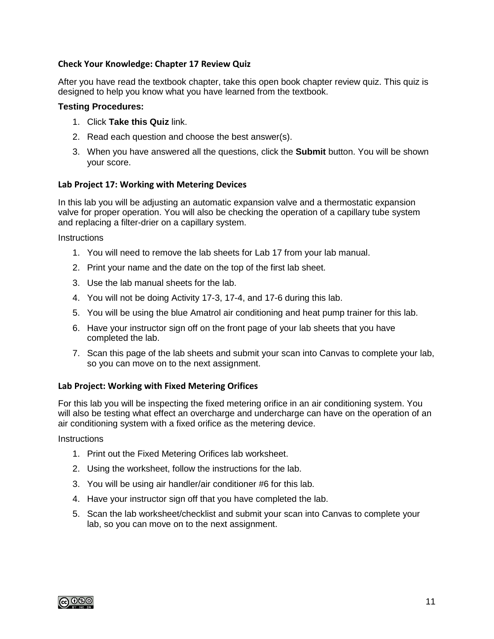#### **Check Your Knowledge: Chapter 17 Review Quiz**

After you have read the textbook chapter, take this open book chapter review quiz. This quiz is designed to help you know what you have learned from the textbook.

#### **Testing Procedures:**

- 1. Click **Take this Quiz** link.
- 2. Read each question and choose the best answer(s).
- 3. When you have answered all the questions, click the **Submit** button. You will be shown your score.

#### **Lab Project 17: Working with Metering Devices**

In this lab you will be adjusting an automatic expansion valve and a thermostatic expansion valve for proper operation. You will also be checking the operation of a capillary tube system and replacing a filter-drier on a capillary system.

**Instructions** 

- 1. You will need to remove the lab sheets for Lab 17 from your lab manual.
- 2. Print your name and the date on the top of the first lab sheet.
- 3. Use the lab manual sheets for the lab.
- 4. You will not be doing Activity 17-3, 17-4, and 17-6 during this lab.
- 5. You will be using the blue Amatrol air conditioning and heat pump trainer for this lab.
- 6. Have your instructor sign off on the front page of your lab sheets that you have completed the lab.
- 7. Scan this page of the lab sheets and submit your scan into Canvas to complete your lab, so you can move on to the next assignment.

#### **Lab Project: Working with Fixed Metering Orifices**

For this lab you will be inspecting the fixed metering orifice in an air conditioning system. You will also be testing what effect an overcharge and undercharge can have on the operation of an air conditioning system with a fixed orifice as the metering device.

- 1. Print out the Fixed Metering Orifices lab worksheet.
- 2. Using the worksheet, follow the instructions for the lab.
- 3. You will be using air handler/air conditioner #6 for this lab.
- 4. Have your instructor sign off that you have completed the lab.
- 5. Scan the lab worksheet/checklist and submit your scan into Canvas to complete your lab, so you can move on to the next assignment.

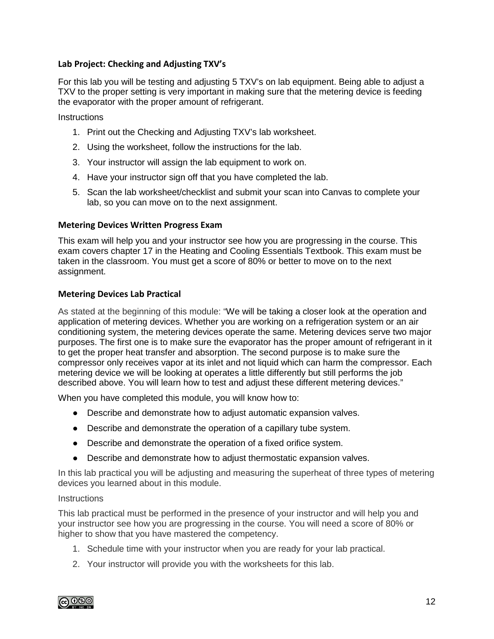#### **Lab Project: Checking and Adjusting TXV's**

For this lab you will be testing and adjusting 5 TXV's on lab equipment. Being able to adjust a TXV to the proper setting is very important in making sure that the metering device is feeding the evaporator with the proper amount of refrigerant.

**Instructions** 

- 1. Print out the Checking and Adjusting TXV's lab worksheet.
- 2. Using the worksheet, follow the instructions for the lab.
- 3. Your instructor will assign the lab equipment to work on.
- 4. Have your instructor sign off that you have completed the lab.
- 5. Scan the lab worksheet/checklist and submit your scan into Canvas to complete your lab, so you can move on to the next assignment.

#### **Metering Devices Written Progress Exam**

This exam will help you and your instructor see how you are progressing in the course. This exam covers chapter 17 in the Heating and Cooling Essentials Textbook. This exam must be taken in the classroom. You must get a score of 80% or better to move on to the next assignment.

#### **Metering Devices Lab Practical**

As stated at the beginning of this module: "We will be taking a closer look at the operation and application of metering devices. Whether you are working on a refrigeration system or an air conditioning system, the metering devices operate the same. Metering devices serve two major purposes. The first one is to make sure the evaporator has the proper amount of refrigerant in it to get the proper heat transfer and absorption. The second purpose is to make sure the compressor only receives vapor at its inlet and not liquid which can harm the compressor. Each metering device we will be looking at operates a little differently but still performs the job described above. You will learn how to test and adjust these different metering devices."

When you have completed this module, you will know how to:

- Describe and demonstrate how to adjust automatic expansion valves.
- Describe and demonstrate the operation of a capillary tube system.
- Describe and demonstrate the operation of a fixed orifice system.
- Describe and demonstrate how to adjust thermostatic expansion valves.

In this lab practical you will be adjusting and measuring the superheat of three types of metering devices you learned about in this module.

#### **Instructions**

This lab practical must be performed in the presence of your instructor and will help you and your instructor see how you are progressing in the course. You will need a score of 80% or higher to show that you have mastered the competency.

- 1. Schedule time with your instructor when you are ready for your lab practical.
- 2. Your instructor will provide you with the worksheets for this lab.

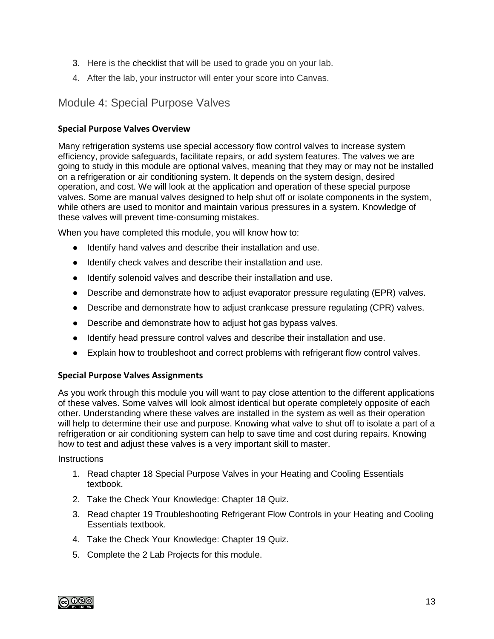- 3. Here is the checklist that will be used to grade you on your lab.
- 4. After the lab, your instructor will enter your score into Canvas.

### Module 4: Special Purpose Valves

#### **Special Purpose Valves Overview**

Many refrigeration systems use special accessory flow control valves to increase system efficiency, provide safeguards, facilitate repairs, or add system features. The valves we are going to study in this module are optional valves, meaning that they may or may not be installed on a refrigeration or air conditioning system. It depends on the system design, desired operation, and cost. We will look at the application and operation of these special purpose valves. Some are manual valves designed to help shut off or isolate components in the system, while others are used to monitor and maintain various pressures in a system. Knowledge of these valves will prevent time-consuming mistakes.

When you have completed this module, you will know how to:

- Identify hand valves and describe their installation and use.
- Identify check valves and describe their installation and use.
- Identify solenoid valves and describe their installation and use.
- Describe and demonstrate how to adjust evaporator pressure regulating (EPR) valves.
- Describe and demonstrate how to adjust crankcase pressure regulating (CPR) valves.
- Describe and demonstrate how to adjust hot gas bypass valves.
- Identify head pressure control valves and describe their installation and use.
- Explain how to troubleshoot and correct problems with refrigerant flow control valves.

#### **Special Purpose Valves Assignments**

As you work through this module you will want to pay close attention to the different applications of these valves. Some valves will look almost identical but operate completely opposite of each other. Understanding where these valves are installed in the system as well as their operation will help to determine their use and purpose. Knowing what valve to shut off to isolate a part of a refrigeration or air conditioning system can help to save time and cost during repairs. Knowing how to test and adjust these valves is a very important skill to master.

- 1. Read chapter 18 Special Purpose Valves in your Heating and Cooling Essentials textbook.
- 2. Take the Check Your Knowledge: Chapter 18 Quiz.
- 3. Read chapter 19 Troubleshooting Refrigerant Flow Controls in your Heating and Cooling Essentials textbook.
- 4. Take the Check Your Knowledge: Chapter 19 Quiz.
- 5. Complete the 2 Lab Projects for this module.

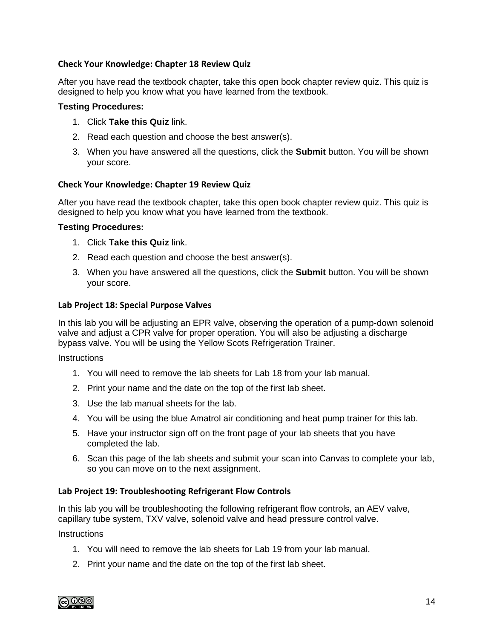#### **Check Your Knowledge: Chapter 18 Review Quiz**

After you have read the textbook chapter, take this open book chapter review quiz. This quiz is designed to help you know what you have learned from the textbook.

#### **Testing Procedures:**

- 1. Click **Take this Quiz** link.
- 2. Read each question and choose the best answer(s).
- 3. When you have answered all the questions, click the **Submit** button. You will be shown your score.

#### **Check Your Knowledge: Chapter 19 Review Quiz**

After you have read the textbook chapter, take this open book chapter review quiz. This quiz is designed to help you know what you have learned from the textbook.

#### **Testing Procedures:**

- 1. Click **Take this Quiz** link.
- 2. Read each question and choose the best answer(s).
- 3. When you have answered all the questions, click the **Submit** button. You will be shown your score.

#### **Lab Project 18: Special Purpose Valves**

In this lab you will be adjusting an EPR valve, observing the operation of a pump-down solenoid valve and adjust a CPR valve for proper operation. You will also be adjusting a discharge bypass valve. You will be using the Yellow Scots Refrigeration Trainer.

**Instructions** 

- 1. You will need to remove the lab sheets for Lab 18 from your lab manual.
- 2. Print your name and the date on the top of the first lab sheet.
- 3. Use the lab manual sheets for the lab.
- 4. You will be using the blue Amatrol air conditioning and heat pump trainer for this lab.
- 5. Have your instructor sign off on the front page of your lab sheets that you have completed the lab.
- 6. Scan this page of the lab sheets and submit your scan into Canvas to complete your lab, so you can move on to the next assignment.

#### **Lab Project 19: Troubleshooting Refrigerant Flow Controls**

In this lab you will be troubleshooting the following refrigerant flow controls, an AEV valve, capillary tube system, TXV valve, solenoid valve and head pressure control valve.

- 1. You will need to remove the lab sheets for Lab 19 from your lab manual.
- 2. Print your name and the date on the top of the first lab sheet.

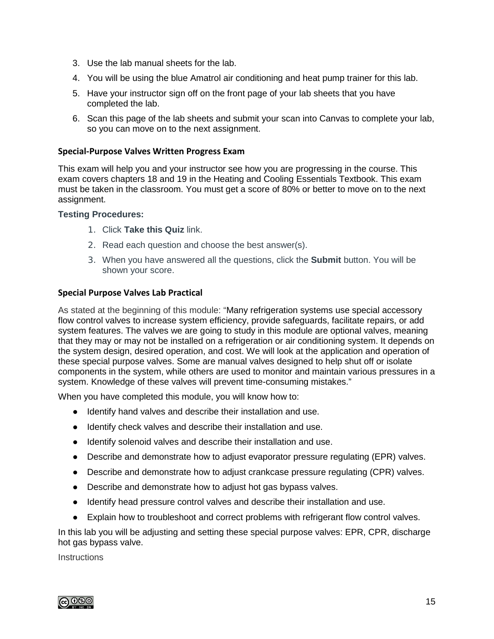- 3. Use the lab manual sheets for the lab.
- 4. You will be using the blue Amatrol air conditioning and heat pump trainer for this lab.
- 5. Have your instructor sign off on the front page of your lab sheets that you have completed the lab.
- 6. Scan this page of the lab sheets and submit your scan into Canvas to complete your lab, so you can move on to the next assignment.

#### **Special-Purpose Valves Written Progress Exam**

This exam will help you and your instructor see how you are progressing in the course. This exam covers chapters 18 and 19 in the Heating and Cooling Essentials Textbook. This exam must be taken in the classroom. You must get a score of 80% or better to move on to the next assignment.

#### **Testing Procedures:**

- 1. Click **Take this Quiz** link.
- 2. Read each question and choose the best answer(s).
- 3. When you have answered all the questions, click the **Submit** button. You will be shown your score.

#### **Special Purpose Valves Lab Practical**

As stated at the beginning of this module: "Many refrigeration systems use special accessory flow control valves to increase system efficiency, provide safeguards, facilitate repairs, or add system features. The valves we are going to study in this module are optional valves, meaning that they may or may not be installed on a refrigeration or air conditioning system. It depends on the system design, desired operation, and cost. We will look at the application and operation of these special purpose valves. Some are manual valves designed to help shut off or isolate components in the system, while others are used to monitor and maintain various pressures in a system. Knowledge of these valves will prevent time-consuming mistakes."

When you have completed this module, you will know how to:

- Identify hand valves and describe their installation and use.
- Identify check valves and describe their installation and use.
- Identify solenoid valves and describe their installation and use.
- Describe and demonstrate how to adjust evaporator pressure regulating (EPR) valves.
- Describe and demonstrate how to adjust crankcase pressure regulating (CPR) valves.
- Describe and demonstrate how to adjust hot gas bypass valves.
- Identify head pressure control valves and describe their installation and use.
- Explain how to troubleshoot and correct problems with refrigerant flow control valves.

In this lab you will be adjusting and setting these special purpose valves: EPR, CPR, discharge hot gas bypass valve.

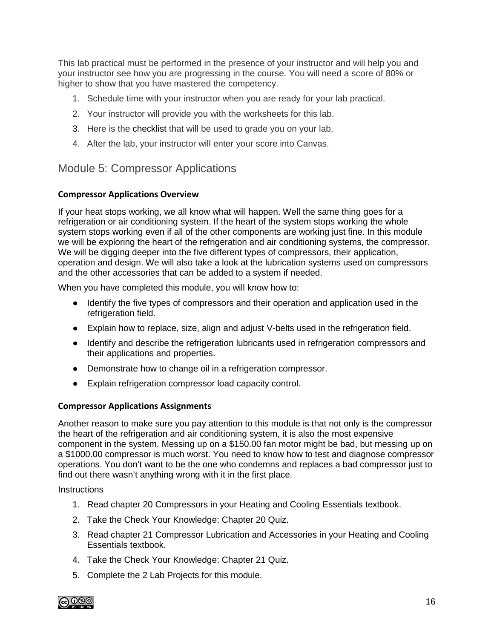This lab practical must be performed in the presence of your instructor and will help you and your instructor see how you are progressing in the course. You will need a score of 80% or higher to show that you have mastered the competency.

- 1. Schedule time with your instructor when you are ready for your lab practical.
- 2. Your instructor will provide you with the worksheets for this lab.
- 3. Here is the checklist that will be used to grade you on your lab.
- 4. After the lab, your instructor will enter your score into Canvas.

### Module 5: Compressor Applications

#### **Compressor Applications Overview**

If your heat stops working, we all know what will happen. Well the same thing goes for a refrigeration or air conditioning system. If the heart of the system stops working the whole system stops working even if all of the other components are working just fine. In this module we will be exploring the heart of the refrigeration and air conditioning systems, the compressor. We will be digging deeper into the five different types of compressors, their application, operation and design. We will also take a look at the lubrication systems used on compressors and the other accessories that can be added to a system if needed.

When you have completed this module, you will know how to:

- Identify the five types of compressors and their operation and application used in the refrigeration field.
- Explain how to replace, size, align and adjust V-belts used in the refrigeration field.
- Identify and describe the refrigeration lubricants used in refrigeration compressors and their applications and properties.
- Demonstrate how to change oil in a refrigeration compressor.
- Explain refrigeration compressor load capacity control.

#### **Compressor Applications Assignments**

Another reason to make sure you pay attention to this module is that not only is the compressor the heart of the refrigeration and air conditioning system, it is also the most expensive component in the system. Messing up on a \$150.00 fan motor might be bad, but messing up on a \$1000.00 compressor is much worst. You need to know how to test and diagnose compressor operations. You don't want to be the one who condemns and replaces a bad compressor just to find out there wasn't anything wrong with it in the first place.

- 1. Read chapter 20 Compressors in your Heating and Cooling Essentials textbook.
- 2. Take the Check Your Knowledge: Chapter 20 Quiz.
- 3. Read chapter 21 Compressor Lubrication and Accessories in your Heating and Cooling Essentials textbook.
- 4. Take the Check Your Knowledge: Chapter 21 Quiz.
- 5. Complete the 2 Lab Projects for this module.

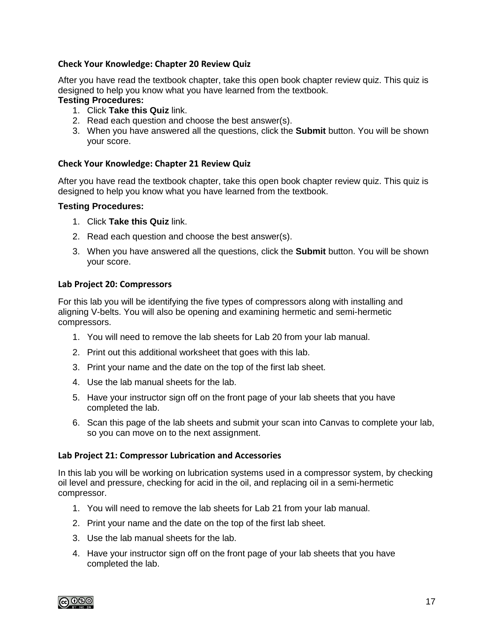#### **Check Your Knowledge: Chapter 20 Review Quiz**

After you have read the textbook chapter, take this open book chapter review quiz. This quiz is designed to help you know what you have learned from the textbook.

#### **Testing Procedures:**

- 1. Click **Take this Quiz** link.
- 2. Read each question and choose the best answer(s).
- 3. When you have answered all the questions, click the **Submit** button. You will be shown your score.

#### **Check Your Knowledge: Chapter 21 Review Quiz**

After you have read the textbook chapter, take this open book chapter review quiz. This quiz is designed to help you know what you have learned from the textbook.

#### **Testing Procedures:**

- 1. Click **Take this Quiz** link.
- 2. Read each question and choose the best answer(s).
- 3. When you have answered all the questions, click the **Submit** button. You will be shown your score.

#### **Lab Project 20: Compressors**

For this lab you will be identifying the five types of compressors along with installing and aligning V-belts. You will also be opening and examining hermetic and semi-hermetic compressors.

- 1. You will need to remove the lab sheets for Lab 20 from your lab manual.
- 2. Print out this additional worksheet that goes with this lab.
- 3. Print your name and the date on the top of the first lab sheet.
- 4. Use the lab manual sheets for the lab.
- 5. Have your instructor sign off on the front page of your lab sheets that you have completed the lab.
- 6. Scan this page of the lab sheets and submit your scan into Canvas to complete your lab, so you can move on to the next assignment.

#### **Lab Project 21: Compressor Lubrication and Accessories**

In this lab you will be working on lubrication systems used in a compressor system, by checking oil level and pressure, checking for acid in the oil, and replacing oil in a semi-hermetic compressor.

- 1. You will need to remove the lab sheets for Lab 21 from your lab manual.
- 2. Print your name and the date on the top of the first lab sheet.
- 3. Use the lab manual sheets for the lab.
- 4. Have your instructor sign off on the front page of your lab sheets that you have completed the lab.

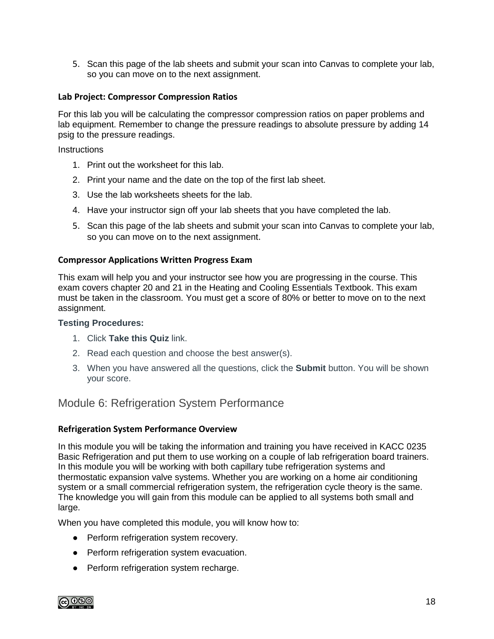5. Scan this page of the lab sheets and submit your scan into Canvas to complete your lab, so you can move on to the next assignment.

#### **Lab Project: Compressor Compression Ratios**

For this lab you will be calculating the compressor compression ratios on paper problems and lab equipment. Remember to change the pressure readings to absolute pressure by adding 14 psig to the pressure readings.

**Instructions** 

- 1. Print out the worksheet for this lab.
- 2. Print your name and the date on the top of the first lab sheet.
- 3. Use the lab worksheets sheets for the lab.
- 4. Have your instructor sign off your lab sheets that you have completed the lab.
- 5. Scan this page of the lab sheets and submit your scan into Canvas to complete your lab, so you can move on to the next assignment.

#### **Compressor Applications Written Progress Exam**

This exam will help you and your instructor see how you are progressing in the course. This exam covers chapter 20 and 21 in the Heating and Cooling Essentials Textbook. This exam must be taken in the classroom. You must get a score of 80% or better to move on to the next assignment.

#### **Testing Procedures:**

- 1. Click **Take this Quiz** link.
- 2. Read each question and choose the best answer(s).
- 3. When you have answered all the questions, click the **Submit** button. You will be shown your score.

### Module 6: Refrigeration System Performance

#### **Refrigeration System Performance Overview**

In this module you will be taking the information and training you have received in KACC 0235 Basic Refrigeration and put them to use working on a couple of lab refrigeration board trainers. In this module you will be working with both capillary tube refrigeration systems and thermostatic expansion valve systems. Whether you are working on a home air conditioning system or a small commercial refrigeration system, the refrigeration cycle theory is the same. The knowledge you will gain from this module can be applied to all systems both small and large.

When you have completed this module, you will know how to:

- Perform refrigeration system recovery.
- Perform refrigeration system evacuation.
- Perform refrigeration system recharge.

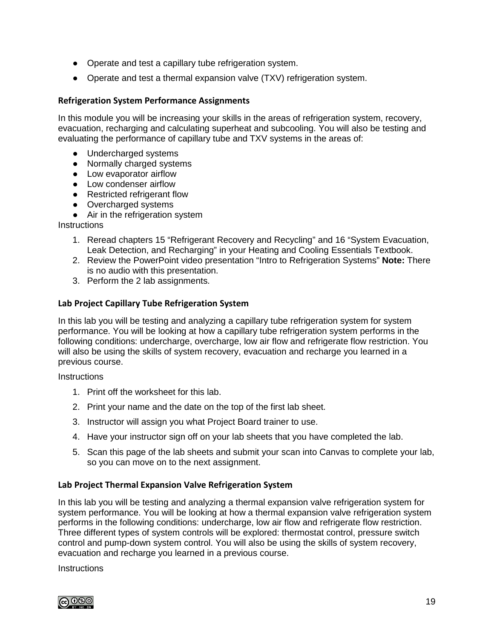- Operate and test a capillary tube refrigeration system.
- Operate and test a thermal expansion valve (TXV) refrigeration system.

#### **Refrigeration System Performance Assignments**

In this module you will be increasing your skills in the areas of refrigeration system, recovery, evacuation, recharging and calculating superheat and subcooling. You will also be testing and evaluating the performance of capillary tube and TXV systems in the areas of:

- Undercharged systems
- Normally charged systems
- Low evaporator airflow
- Low condenser airflow
- Restricted refrigerant flow
- Overcharged systems
- Air in the refrigeration system

**Instructions** 

- 1. Reread chapters 15 "Refrigerant Recovery and Recycling" and 16 "System Evacuation, Leak Detection, and Recharging" in your Heating and Cooling Essentials Textbook.
- 2. Review the PowerPoint video presentation "Intro to Refrigeration Systems" **Note:** There is no audio with this presentation.
- 3. Perform the 2 lab assignments.

#### **Lab Project Capillary Tube Refrigeration System**

In this lab you will be testing and analyzing a capillary tube refrigeration system for system performance. You will be looking at how a capillary tube refrigeration system performs in the following conditions: undercharge, overcharge, low air flow and refrigerate flow restriction. You will also be using the skills of system recovery, evacuation and recharge you learned in a previous course.

**Instructions** 

- 1. Print off the worksheet for this lab.
- 2. Print your name and the date on the top of the first lab sheet.
- 3. Instructor will assign you what Project Board trainer to use.
- 4. Have your instructor sign off on your lab sheets that you have completed the lab.
- 5. Scan this page of the lab sheets and submit your scan into Canvas to complete your lab, so you can move on to the next assignment.

#### **Lab Project Thermal Expansion Valve Refrigeration System**

In this lab you will be testing and analyzing a thermal expansion valve refrigeration system for system performance. You will be looking at how a thermal expansion valve refrigeration system performs in the following conditions: undercharge, low air flow and refrigerate flow restriction. Three different types of system controls will be explored: thermostat control, pressure switch control and pump-down system control. You will also be using the skills of system recovery, evacuation and recharge you learned in a previous course.

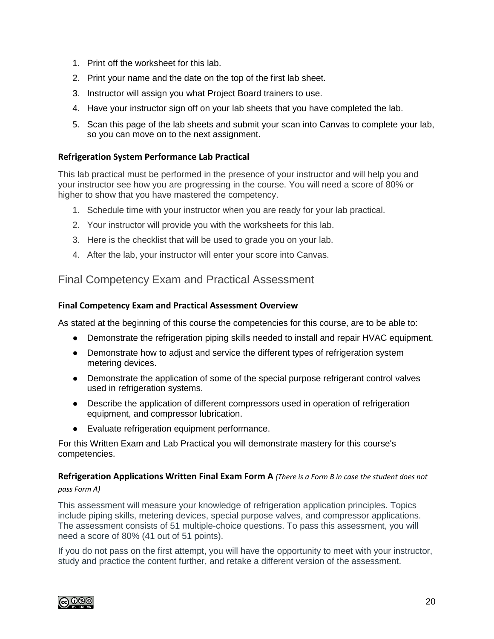- 1. Print off the worksheet for this lab.
- 2. Print your name and the date on the top of the first lab sheet.
- 3. Instructor will assign you what Project Board trainers to use.
- 4. Have your instructor sign off on your lab sheets that you have completed the lab.
- 5. Scan this page of the lab sheets and submit your scan into Canvas to complete your lab, so you can move on to the next assignment.

#### **Refrigeration System Performance Lab Practical**

This lab practical must be performed in the presence of your instructor and will help you and your instructor see how you are progressing in the course. You will need a score of 80% or higher to show that you have mastered the competency.

- 1. Schedule time with your instructor when you are ready for your lab practical.
- 2. Your instructor will provide you with the worksheets for this lab.
- 3. Here is the checklist that will be used to grade you on your lab.
- 4. After the lab, your instructor will enter your score into Canvas.

### Final Competency Exam and Practical Assessment

#### **Final Competency Exam and Practical Assessment Overview**

As stated at the beginning of this course the competencies for this course, are to be able to:

- Demonstrate the refrigeration piping skills needed to install and repair HVAC equipment.
- Demonstrate how to adjust and service the different types of refrigeration system metering devices.
- Demonstrate the application of some of the special purpose refrigerant control valves used in refrigeration systems.
- Describe the application of different compressors used in operation of refrigeration equipment, and compressor lubrication.
- Evaluate refrigeration equipment performance.

For this Written Exam and Lab Practical you will demonstrate mastery for this course's competencies.

#### **Refrigeration Applications Written Final Exam Form A** *(There is a Form B in case the student does not pass Form A)*

This assessment will measure your knowledge of refrigeration application principles. Topics include piping skills, metering devices, special purpose valves, and compressor applications. The assessment consists of 51 multiple-choice questions. To pass this assessment, you will need a score of 80% (41 out of 51 points).

If you do not pass on the first attempt, you will have the opportunity to meet with your instructor, study and practice the content further, and retake a different version of the assessment.

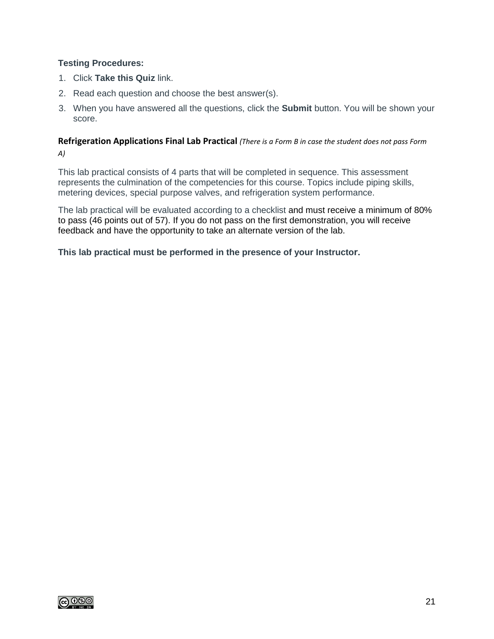#### **Testing Procedures:**

- 1. Click **Take this Quiz** link.
- 2. Read each question and choose the best answer(s).
- 3. When you have answered all the questions, click the **Submit** button. You will be shown your score.

#### **Refrigeration Applications Final Lab Practical** *(There is a Form B in case the student does not pass Form A)*

This lab practical consists of 4 parts that will be completed in sequence. This assessment represents the culmination of the competencies for this course. Topics include piping skills, metering devices, special purpose valves, and refrigeration system performance.

The lab practical will be evaluated according to a checklist and must receive a minimum of 80% to pass (46 points out of 57). If you do not pass on the first demonstration, you will receive feedback and have the opportunity to take an alternate version of the lab.

**This lab practical must be performed in the presence of your Instructor.**

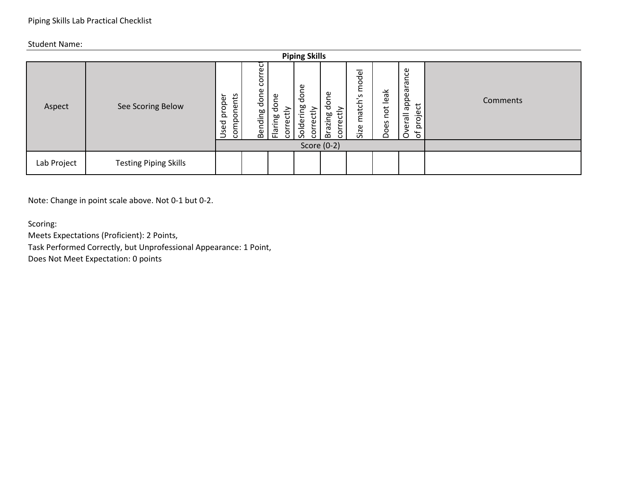|             |                              |                                     |                           |                                    | <b>Piping Skills</b>                                   |                                                 |                                               |                     |                                                                   |          |
|-------------|------------------------------|-------------------------------------|---------------------------|------------------------------------|--------------------------------------------------------|-------------------------------------------------|-----------------------------------------------|---------------------|-------------------------------------------------------------------|----------|
| Aspect      | See Scoring Below            | onents<br>oper<br>₫<br>comp<br>Used | Φ<br>S<br>done<br>Bending | done<br>≥<br>ਦ<br>Flaring<br>corre | Φ<br>ā<br>ರ<br>ೲ<br>ੜੇ<br>.≐<br>Solderi<br>ن<br>Φ<br>ă | ρg<br>응<br>tiy<br>ஜ<br>azir<br>Φ<br>؎<br>ă<br>ڇ | model<br>S<br>-<br>match <sup>'</sup><br>Size | leak<br>not<br>Does | Φ<br>ω<br>ω<br>appea<br>ゼ<br>Φ<br>erall<br>$\circ$<br>효<br>Ⴆ<br>O | Comments |
|             |                              |                                     |                           |                                    |                                                        | Score (0-2)                                     |                                               |                     |                                                                   |          |
| Lab Project | <b>Testing Piping Skills</b> |                                     |                           |                                    |                                                        |                                                 |                                               |                     |                                                                   |          |

Note: Change in point scale above. Not 0-1 but 0-2.

Scoring:

Meets Expectations (Proficient): 2 Points,

Task Performed Correctly, but Unprofessional Appearance: 1 Point,

Does Not Meet Expectation: 0 points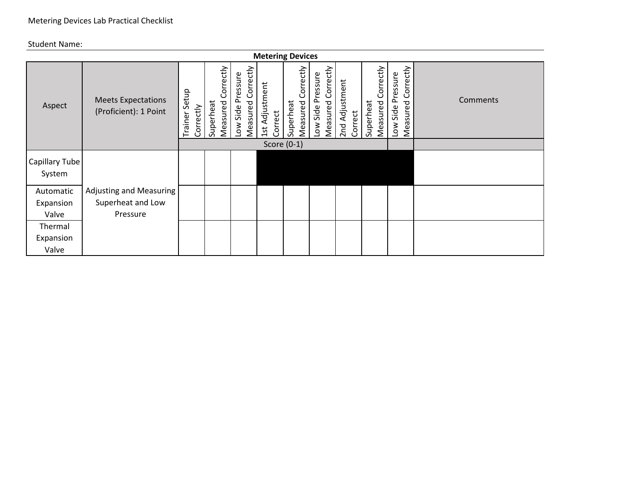|                                 |                                                    |                               |                                    |                                           | <b>Metering Devices</b>   |                                    |                                           |                           |                                    |                                            |                 |
|---------------------------------|----------------------------------------------------|-------------------------------|------------------------------------|-------------------------------------------|---------------------------|------------------------------------|-------------------------------------------|---------------------------|------------------------------------|--------------------------------------------|-----------------|
| Aspect                          | <b>Meets Expectations</b><br>(Proficient): 1 Point | Setup<br>Correctly<br>Trainer | Correctly<br>Measured<br>Superheat | Correctly<br>ow Side Pressure<br>Measured | 1st Adjustment<br>Correct | Correctly<br>Superheat<br>Measured | Correctly<br>ow Side Pressure<br>Measured | 2nd Adjustment<br>Correct | Correctly<br>Measured<br>Superheat | Correctly<br>Low Side Pressure<br>Measured | <b>Comments</b> |
|                                 |                                                    |                               |                                    |                                           |                           | Score $(0-1)$                      |                                           |                           |                                    |                                            |                 |
| <b>Capillary Tube</b><br>System |                                                    |                               |                                    |                                           |                           |                                    |                                           |                           |                                    |                                            |                 |
| Automatic                       | <b>Adjusting and Measuring</b>                     |                               |                                    |                                           |                           |                                    |                                           |                           |                                    |                                            |                 |
| Expansion                       | Superheat and Low                                  |                               |                                    |                                           |                           |                                    |                                           |                           |                                    |                                            |                 |
| Valve                           | Pressure                                           |                               |                                    |                                           |                           |                                    |                                           |                           |                                    |                                            |                 |
| Thermal                         |                                                    |                               |                                    |                                           |                           |                                    |                                           |                           |                                    |                                            |                 |
| Expansion                       |                                                    |                               |                                    |                                           |                           |                                    |                                           |                           |                                    |                                            |                 |
| Valve                           |                                                    |                               |                                    |                                           |                           |                                    |                                           |                           |                                    |                                            |                 |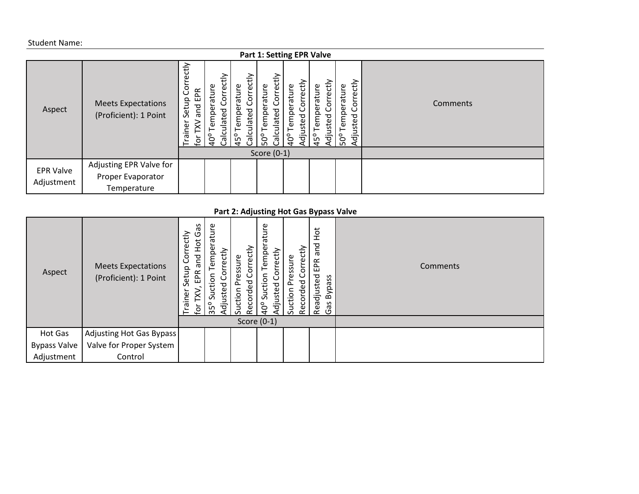|                  |                                                    |                                                                       |                                                                      |                                                                    | <b>Part 1: Setting EPR Valve</b>                               |                                                  |                                                    |                                               |          |
|------------------|----------------------------------------------------|-----------------------------------------------------------------------|----------------------------------------------------------------------|--------------------------------------------------------------------|----------------------------------------------------------------|--------------------------------------------------|----------------------------------------------------|-----------------------------------------------|----------|
| Aspect           | <b>Meets Expectations</b><br>(Proficient): 1 Point | tiy<br>ه<br>යි<br>EPR<br>Setup<br>and<br>ainer<br>⋧<br>$\overline{5}$ | Correctly<br>Φ<br>등<br>9e<br>ಕೃ<br>in<br>Φ<br>Calc<br>$\overline{q}$ | Correctly<br>ature<br>per<br>ulated<br>Tem<br>Calc<br>$45^{\circ}$ | Correctly<br>ature<br>emper<br>ulated<br>Calci<br>$50^{\circ}$ | iorrectly<br>emperature<br>usted<br>$^{6}$<br>ζġ | orrectly<br>emperature<br>Adjusted<br>$45^{\circ}$ | Correctly<br>ature<br>empera<br>djusted<br>ნზ | Comments |
|                  |                                                    |                                                                       |                                                                      |                                                                    | Score $(0-1)$                                                  |                                                  |                                                    |                                               |          |
| <b>EPR Valve</b> | Adjusting EPR Valve for                            |                                                                       |                                                                      |                                                                    |                                                                |                                                  |                                                    |                                               |          |
| Adjustment       | Proper Evaporator                                  |                                                                       |                                                                      |                                                                    |                                                                |                                                  |                                                    |                                               |          |
|                  | Temperature                                        |                                                                       |                                                                      |                                                                    |                                                                |                                                  |                                                    |                                               |          |

#### **Part 2: Adjusting Hot Gas Bypass Valve**

| Aspect              | <b>Meets Expectations</b><br>(Proficient): 1 Point | Gã<br>ectly<br>$\frac{1}{2}$<br>ŏ<br>and<br>ပ<br>Setup<br>EPR<br>eni.<br>$\sigma$<br>ڝ | atu<br>orrectly<br>Q<br>G)<br>◠<br>ਹ<br>uste<br>n<br>35 <sup>°</sup><br>'ਰ | Correctly<br>ssure<br>್ಠಾ<br>Suction<br>ರ<br>Reco | ature<br>Temper<br>orrectly.<br>Suction<br>djusted<br>$\beta$<br>Score $(0-1)$ | ectly<br>ssure<br>ត<br>್ಠಾ<br>Suction<br>ō<br>Recor | . .<br>$\frac{1}{2}$<br>pue<br>EPR<br>Readjusted<br>ass<br>Byp<br>Gas | Comments |
|---------------------|----------------------------------------------------|----------------------------------------------------------------------------------------|----------------------------------------------------------------------------|---------------------------------------------------|--------------------------------------------------------------------------------|-----------------------------------------------------|-----------------------------------------------------------------------|----------|
| Hot Gas             | Adjusting Hot Gas Bypass                           |                                                                                        |                                                                            |                                                   |                                                                                |                                                     |                                                                       |          |
| <b>Bypass Valve</b> | Valve for Proper System                            |                                                                                        |                                                                            |                                                   |                                                                                |                                                     |                                                                       |          |
| Adjustment          | Control                                            |                                                                                        |                                                                            |                                                   |                                                                                |                                                     |                                                                       |          |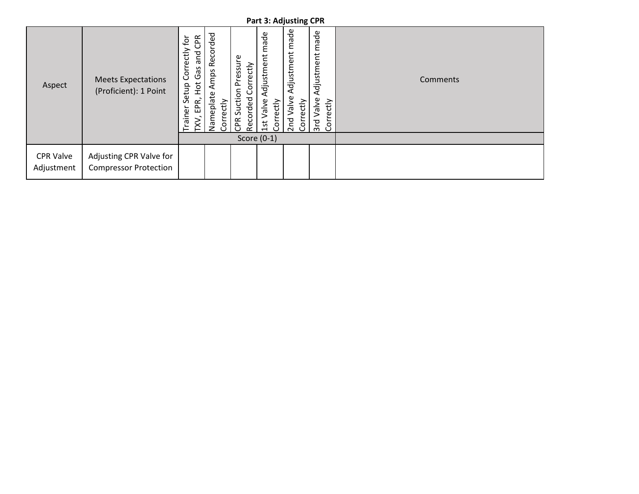|                                |                                                         |                                                                                               |                                                             |                                                        | <b>Part 3: Adjusting CPR</b>                 |                                                         |                                                            |          |
|--------------------------------|---------------------------------------------------------|-----------------------------------------------------------------------------------------------|-------------------------------------------------------------|--------------------------------------------------------|----------------------------------------------|---------------------------------------------------------|------------------------------------------------------------|----------|
| Aspect                         | <b>Meets Expectations</b><br>(Proficient): 1 Point      | CPR<br>$\bar{e}$<br>Correctly<br>and<br>Gas<br>$\frac{1}{2}$<br>Setup<br>EPR,<br>Trainer<br>⋛ | Recorded<br>Amps<br>Φ<br>eplate<br>Correctly<br>Ē<br>م<br>2 | Suction Pressure<br>Correctly<br>Recorded<br><b>AG</b> | made<br>Adjustment<br>1st Valve<br>Correctly | Adjustment made<br>Valve<br>Correctly<br>2 <sub>n</sub> | made<br>Adjustment<br>Valve<br>rectly<br>$rac{1}{2}$<br>δr | Comments |
|                                |                                                         |                                                                                               |                                                             |                                                        | Score $(0-1)$                                |                                                         |                                                            |          |
| <b>CPR Valve</b><br>Adjustment | Adjusting CPR Valve for<br><b>Compressor Protection</b> |                                                                                               |                                                             |                                                        |                                              |                                                         |                                                            |          |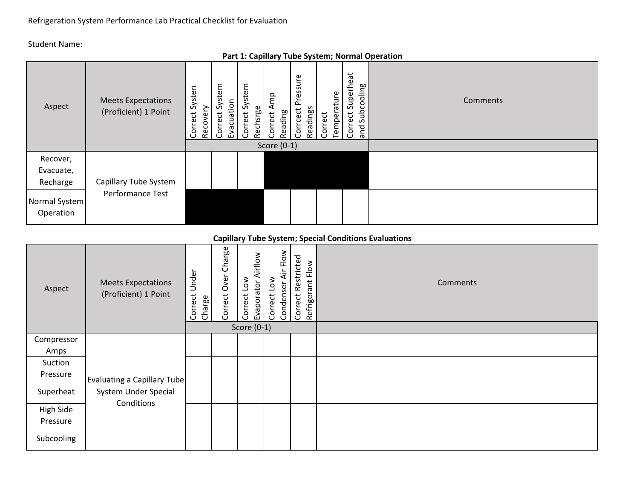|                                   | Part 1: Capillary Tube System; Normal Operation   |                                |                                          |                            |                                             |                                  |         |             |                                            |          |  |  |
|-----------------------------------|---------------------------------------------------|--------------------------------|------------------------------------------|----------------------------|---------------------------------------------|----------------------------------|---------|-------------|--------------------------------------------|----------|--|--|
| Aspect                            | <b>Meets Expectations</b><br>(Proficient) 1 Point | Systen<br>Recovery<br>Correct: | tem<br>$S$ ysi<br>Evacuation<br>Correct: | Correct System<br>Rechsrge | Amp<br>Reading<br>Correct.<br>Score $(0-1)$ | Pressure<br>Readings<br>Corrcect | Correct | Temperature | Superheat<br>Subcooling<br>Correct:<br>pue | Comments |  |  |
| Recover,<br>Evacuate,<br>Recharge | Capillary Tube System                             |                                |                                          |                            |                                             |                                  |         |             |                                            |          |  |  |
| Normal System<br>Operation        | Performance Test                                  |                                |                                          |                            |                                             |                                  |         |             |                                            |          |  |  |

#### **Capillary Tube System; Special Conditions Evaluations**

| Aspect     | <b>Meets Expectations</b><br>(Proficient) 1 Point   | Under<br>Correct<br>Charge | Charge<br>Correct Over | Airflow<br>Correct Low<br>Evaporator | Air Flow<br>Correct Low<br>Condenser | Correct Restricted<br>Flow<br>Refrigerant | Comments |
|------------|-----------------------------------------------------|----------------------------|------------------------|--------------------------------------|--------------------------------------|-------------------------------------------|----------|
|            |                                                     |                            |                        | Score $(0-1)$                        |                                      |                                           |          |
| Compressor |                                                     |                            |                        |                                      |                                      |                                           |          |
| Amps       |                                                     |                            |                        |                                      |                                      |                                           |          |
| Suction    |                                                     |                            |                        |                                      |                                      |                                           |          |
| Pressure   |                                                     |                            |                        |                                      |                                      |                                           |          |
| Superheat  | Evaluating a Capillary Tube<br>System Under Special |                            |                        |                                      |                                      |                                           |          |
| High Side  | Conditions                                          |                            |                        |                                      |                                      |                                           |          |
| Pressure   |                                                     |                            |                        |                                      |                                      |                                           |          |
| Subcooling |                                                     |                            |                        |                                      |                                      |                                           |          |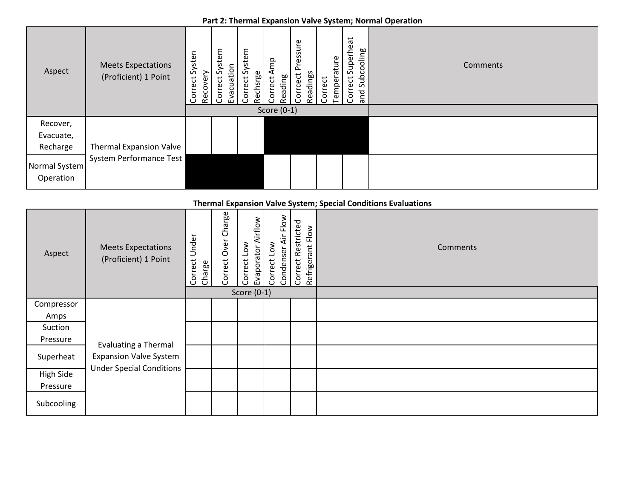#### **Part 2: Thermal Expansion Valve System; Normal Operation**

| Aspect                            | <b>Meets Expectations</b><br>(Proficient) 1 Point | Systen<br>Recovery<br>Correct: | Correct System<br>Evacuation | ystem<br>Correct S<br>Rechsrge | ρ<br>Reading<br>Correct | essure<br>$\Omega$<br>Corrcect | Readings | Temperature<br>Correct | Correct Superheat | Subcooling<br>and | Comments |
|-----------------------------------|---------------------------------------------------|--------------------------------|------------------------------|--------------------------------|-------------------------|--------------------------------|----------|------------------------|-------------------|-------------------|----------|
|                                   |                                                   |                                |                              |                                | Score $(0-1)$           |                                |          |                        |                   |                   |          |
| Recover,<br>Evacuate,<br>Recharge | <b>Thermal Expansion Valve</b>                    |                                |                              |                                |                         |                                |          |                        |                   |                   |          |
| Normal System<br>Operation        | <b>System Performance Test</b>                    |                                |                              |                                |                         |                                |          |                        |                   |                   |          |

### **Thermal Expansion Valve System; Special Conditions Evaluations**

| Aspect     | <b>Meets Expectations</b><br>(Proficient) 1 Point | Under<br>Correct<br>Charge | Correct Over Charge | Airflow<br>$\sum_{i=1}^{\infty}$<br>Evaporator<br>Correct | Air Flow<br>Correct Low<br>Condenser | Correct Restricted<br>Refrigerant Flow | Comments |
|------------|---------------------------------------------------|----------------------------|---------------------|-----------------------------------------------------------|--------------------------------------|----------------------------------------|----------|
|            |                                                   |                            |                     | Score $(0-1)$                                             |                                      |                                        |          |
| Compressor |                                                   |                            |                     |                                                           |                                      |                                        |          |
| Amps       |                                                   |                            |                     |                                                           |                                      |                                        |          |
| Suction    |                                                   |                            |                     |                                                           |                                      |                                        |          |
| Pressure   |                                                   |                            |                     |                                                           |                                      |                                        |          |
|            | <b>Evaluating a Thermal</b>                       |                            |                     |                                                           |                                      |                                        |          |
| Superheat  | <b>Expansion Valve System</b>                     |                            |                     |                                                           |                                      |                                        |          |
| High Side  | <b>Under Special Conditions</b>                   |                            |                     |                                                           |                                      |                                        |          |
| Pressure   |                                                   |                            |                     |                                                           |                                      |                                        |          |
| Subcooling |                                                   |                            |                     |                                                           |                                      |                                        |          |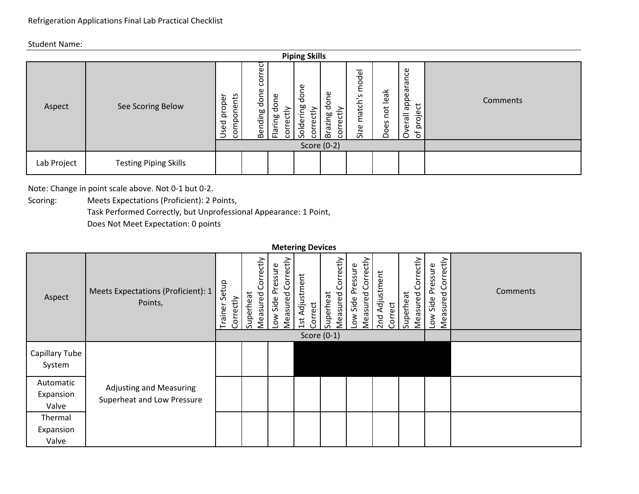|             |                              |                                  |                           |                                    | <b>Piping Skills</b>                                   |                                              |                                                        |                     |                                                                   |          |
|-------------|------------------------------|----------------------------------|---------------------------|------------------------------------|--------------------------------------------------------|----------------------------------------------|--------------------------------------------------------|---------------------|-------------------------------------------------------------------|----------|
| Aspect      | See Scoring Below            | onents<br>proper<br>comp<br>Used | ٣<br>S<br>done<br>Bending | done<br>≥<br>ਦ<br>Flaring<br>corre | Φ<br>$\circ$<br>ರ<br>ೲ<br>ੱਚ<br>≔<br>Solderi<br>Φ<br>g | done<br>ੱਚ<br>azing<br>Φ<br>؎<br>؎<br>Š<br>ٷ | del<br>Ē<br>$\mathsf{S}$<br>match <sup>'</sup><br>Size | leak<br>not<br>Does | Φ<br>ω<br>ω<br>appea<br>ರ<br>Φ<br>llere<br>$\circ$<br>흐<br>Ⴆ<br>O | Comments |
|             |                              |                                  |                           |                                    |                                                        | Score (0-2)                                  |                                                        |                     |                                                                   |          |
| Lab Project | <b>Testing Piping Skills</b> |                                  |                           |                                    |                                                        |                                              |                                                        |                     |                                                                   |          |

Note: Change in point scale above. Not 0-1 but 0-2.

Scoring: Meets Expectations (Proficient): 2 Points, Task Performed Correctly, but Unprofessional Appearance: 1 Point,

Does Not Meet Expectation: 0 points

|                          |                                               |                               |                                    |                                        | <b>Metering Devices</b>                |                                           |                                           |                           |                                    |                                            |          |
|--------------------------|-----------------------------------------------|-------------------------------|------------------------------------|----------------------------------------|----------------------------------------|-------------------------------------------|-------------------------------------------|---------------------------|------------------------------------|--------------------------------------------|----------|
| Aspect                   | Meets Expectations (Proficient): 1<br>Points, | Setup<br>Correctly<br>Trainer | Correctly<br>Measured<br>Superheat | Measured Correctly<br>ow Side Pressure | Adjustment<br>Correct<br>$\frac{1}{3}$ | Correctly<br>Superheat<br><b>Measured</b> | Measured Correctly<br>Pressure<br>ow Side | 2nd Adjustment<br>Correct | Correctly<br>Measured<br>Superheat | Correctly<br>Low Side Pressure<br>Measured | Comments |
|                          |                                               |                               |                                    |                                        | Score $(0-1)$                          |                                           |                                           |                           |                                    |                                            |          |
| Capillary Tube<br>System |                                               |                               |                                    |                                        |                                        |                                           |                                           |                           |                                    |                                            |          |
| Automatic                | <b>Adjusting and Measuring</b>                |                               |                                    |                                        |                                        |                                           |                                           |                           |                                    |                                            |          |
| Expansion                | Superheat and Low Pressure                    |                               |                                    |                                        |                                        |                                           |                                           |                           |                                    |                                            |          |
| Valve                    |                                               |                               |                                    |                                        |                                        |                                           |                                           |                           |                                    |                                            |          |
| Thermal                  |                                               |                               |                                    |                                        |                                        |                                           |                                           |                           |                                    |                                            |          |
| Expansion                |                                               |                               |                                    |                                        |                                        |                                           |                                           |                           |                                    |                                            |          |
| Valve                    |                                               |                               |                                    |                                        |                                        |                                           |                                           |                           |                                    |                                            |          |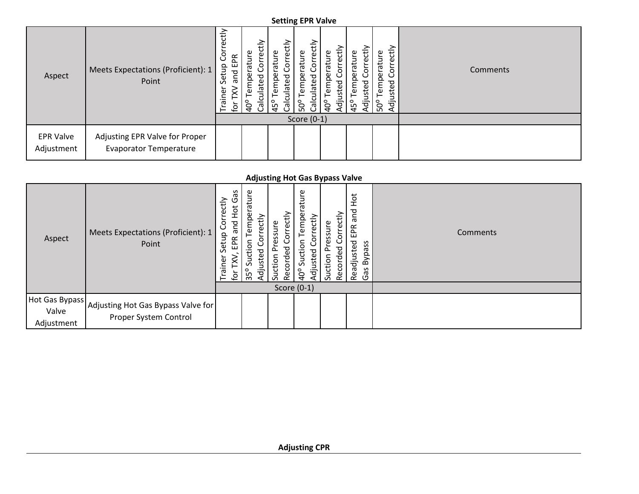#### **Setting EPR Valve**

| Aspect                         | Meets Expectations (Proficient): 1<br>Point                     | tiy<br>ω<br>S<br>EPR<br>Setup<br>and<br>ہ<br>⊇.<br>ā<br>ğ | Φ<br>$\omega$<br>ratur.<br>$\circ$<br>9e<br>ᅙ<br>6<br>Φ<br>Calc<br>$\frac{6}{9}$ | ectly<br>Φ<br>atur<br>š<br>å<br>ulated<br>$\omega$<br>Calc<br>$45^{\circ}$ | ctly<br>Φ<br>Φ<br>ratur<br>O<br>mpe<br>ᅙ<br>ō<br>Φ<br>Ξ<br>Calc<br>$50^{\circ}$ | ₹<br>ature<br>Φ<br>ㅎ<br>Φ<br>Φ<br>$\frac{1}{9}$<br>$\overline{q}$ | ಕੇ<br>erature<br>ξ<br>$45^{\circ}$<br>ਹ੍ਰੋ | ctly<br>Φ<br>ratur<br>Φ<br>؎<br>$\circ$<br>Φ<br>C<br>$\Omega$<br>sted<br>$\omega$<br>Adjus<br>၊ ငွ | Comments |
|--------------------------------|-----------------------------------------------------------------|-----------------------------------------------------------|----------------------------------------------------------------------------------|----------------------------------------------------------------------------|---------------------------------------------------------------------------------|-------------------------------------------------------------------|--------------------------------------------|----------------------------------------------------------------------------------------------------|----------|
|                                |                                                                 |                                                           |                                                                                  |                                                                            | Score $(0-1)$                                                                   |                                                                   |                                            |                                                                                                    |          |
| <b>EPR Valve</b><br>Adjustment | Adjusting EPR Valve for Proper<br><b>Evaporator Temperature</b> |                                                           |                                                                                  |                                                                            |                                                                                 |                                                                   |                                            |                                                                                                    |          |

#### **Adjusting Hot Gas Bypass Valve**

| Aspect                                | Meets Expectations (Proficient): 1<br>Point                 | Gã<br>rectly<br>Hot<br>ğ<br>and<br>Setup<br>EPR<br>.<br>rainer<br>ğ | emperature<br>ਨੂੰ<br>ਹ<br>ၑ<br>ŏ<br>tion<br>ပ<br>ರ<br>djuste<br>ݺ<br>ັ<br>o<br>ှင်္က | orrectly.<br>essure<br>ر<br>Recorded<br>൧<br>uction | ature<br>empe<br>rectly<br>ŏ<br>tion<br>ပ<br>usted<br>ݺ<br>S<br>$\frac{6}{5}$<br>ਤ੍ਰ | orrectly<br>essure<br>ਠ<br>$\sim$<br>Recorde<br>Suction | $\frac{1}{2}$<br>and<br>EPR.<br>Readjusted<br>Bypass<br>Gã | Comments |
|---------------------------------------|-------------------------------------------------------------|---------------------------------------------------------------------|--------------------------------------------------------------------------------------|-----------------------------------------------------|--------------------------------------------------------------------------------------|---------------------------------------------------------|------------------------------------------------------------|----------|
|                                       |                                                             | Score $(0-1)$                                                       |                                                                                      |                                                     |                                                                                      |                                                         |                                                            |          |
| Hot Gas Bypass<br>Valve<br>Adjustment | Adjusting Hot Gas Bypass Valve for<br>Proper System Control |                                                                     |                                                                                      |                                                     |                                                                                      |                                                         |                                                            |          |